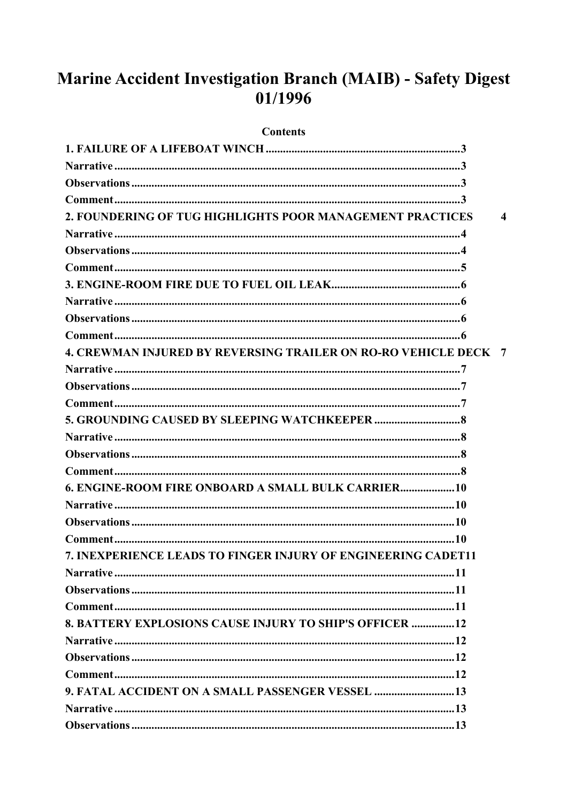# Marine Accident Investigation Branch (MAIB) - Safety Digest 01/1996

#### **Contents**

| 2. FOUNDERING OF TUG HIGHLIGHTS POOR MANAGEMENT PRACTICES              | $\boldsymbol{\Lambda}$ |
|------------------------------------------------------------------------|------------------------|
|                                                                        |                        |
|                                                                        |                        |
|                                                                        |                        |
|                                                                        |                        |
|                                                                        |                        |
|                                                                        |                        |
|                                                                        |                        |
| <b>4. CREWMAN INJURED BY REVERSING TRAILER ON RO-RO VEHICLE DECK 7</b> |                        |
|                                                                        |                        |
|                                                                        |                        |
|                                                                        |                        |
|                                                                        |                        |
|                                                                        |                        |
|                                                                        |                        |
|                                                                        |                        |
| 6. ENGINE-ROOM FIRE ONBOARD A SMALL BULK CARRIER 10                    |                        |
|                                                                        |                        |
|                                                                        |                        |
|                                                                        |                        |
| 7. INEXPERIENCE LEADS TO FINGER INJURY OF ENGINEERING CADET11          |                        |
|                                                                        |                        |
|                                                                        |                        |
|                                                                        |                        |
| <b>8. BATTERY EXPLOSIONS CAUSE INJURY TO SHIP'S OFFICER 12</b>         |                        |
|                                                                        |                        |
|                                                                        |                        |
|                                                                        |                        |
| 9. FATAL ACCIDENT ON A SMALL PASSENGER VESSEL  13                      |                        |
|                                                                        |                        |
|                                                                        |                        |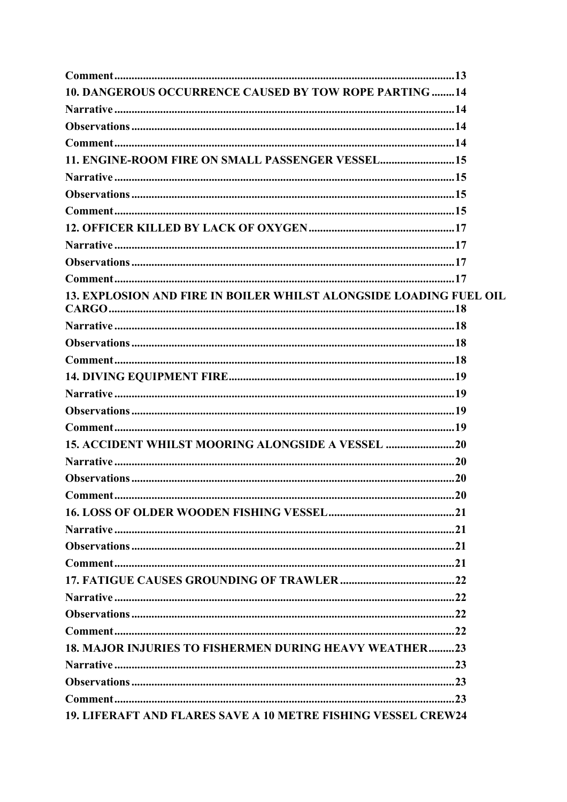| 10. DANGEROUS OCCURRENCE CAUSED BY TOW ROPE PARTING  14            |    |
|--------------------------------------------------------------------|----|
|                                                                    |    |
|                                                                    |    |
|                                                                    |    |
| 11. ENGINE-ROOM FIRE ON SMALL PASSENGER VESSEL15                   |    |
|                                                                    |    |
|                                                                    |    |
|                                                                    |    |
|                                                                    |    |
|                                                                    |    |
|                                                                    |    |
|                                                                    |    |
| 13. EXPLOSION AND FIRE IN BOILER WHILST ALONGSIDE LOADING FUEL OIL |    |
|                                                                    |    |
|                                                                    |    |
|                                                                    |    |
|                                                                    |    |
|                                                                    |    |
|                                                                    |    |
|                                                                    |    |
| 15. ACCIDENT WHILST MOORING ALONGSIDE A VESSEL 20                  |    |
|                                                                    |    |
|                                                                    |    |
| Comment                                                            | 20 |
|                                                                    |    |
|                                                                    |    |
|                                                                    |    |
|                                                                    |    |
|                                                                    |    |
|                                                                    |    |
|                                                                    |    |
|                                                                    |    |
| <b>18. MAJOR INJURIES TO FISHERMEN DURING HEAVY WEATHER23</b>      |    |
|                                                                    |    |
|                                                                    |    |
|                                                                    |    |
| 19. LIFERAFT AND FLARES SAVE A 10 METRE FISHING VESSEL CREW24      |    |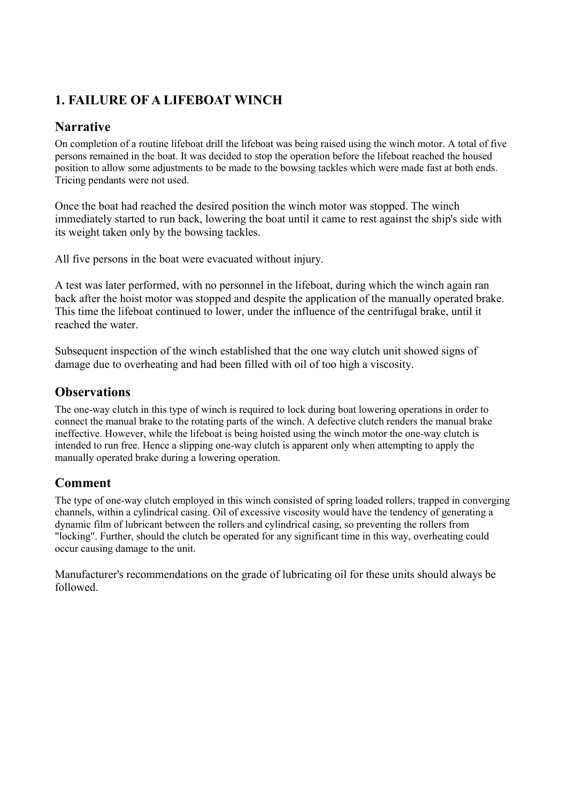# <span id="page-3-0"></span>**1. FAILURE OF A LIFEBOAT WINCH**

## **Narrative**

On completion of a routine lifeboat drill the lifeboat was being raised using the winch motor. A total of five persons remained in the boat. It was decided to stop the operation before the lifeboat reached the housed position to allow some adjustments to be made to the bowsing tackles which were made fast at both ends. Tricing pendants were not used.

Once the boat had reached the desired position the winch motor was stopped. The winch immediately started to run back, lowering the boat until it came to rest against the ship's side with its weight taken only by the bowsing tackles.

All five persons in the boat were evacuated without injury.

A test was later performed, with no personnel in the lifeboat, during which the winch again ran back after the hoist motor was stopped and despite the application of the manually operated brake. This time the lifeboat continued to lower, under the influence of the centrifugal brake, until it reached the water.

Subsequent inspection of the winch established that the one way clutch unit showed signs of damage due to overheating and had been filled with oil of too high a viscosity.

#### **Observations**

The one-way clutch in this type of winch is required to lock during boat lowering operations in order to connect the manual brake to the rotating parts of the winch. A defective clutch renders the manual brake ineffective. However, while the lifeboat is being hoisted using the winch motor the one-way clutch is intended to run free. Hence a slipping one-way clutch is apparent only when attempting to apply the manually operated brake during a lowering operation.

#### **Comment**

The type of one-way clutch employed in this winch consisted of spring loaded rollers, trapped in converging channels, within a cylindrical casing. Oil of excessive viscosity would have the tendency of generating a dynamic film of lubricant between the rollers and cylindrical casing, so preventing the rollers from "locking". Further, should the clutch be operated for any significant time in this way, overheating could occur causing damage to the unit.

Manufacturer's recommendations on the grade of lubricating oil for these units should always be followed.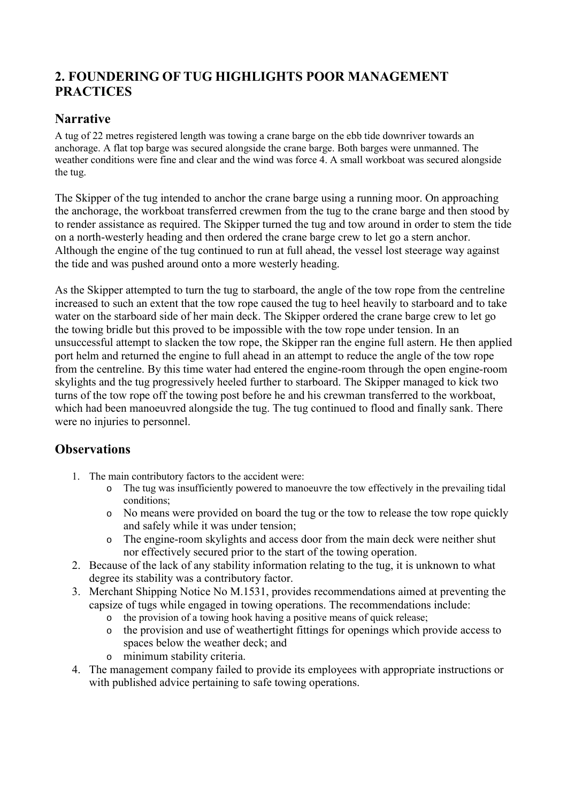# <span id="page-4-0"></span>**2. FOUNDERING OF TUG HIGHLIGHTS POOR MANAGEMENT PRACTICES**

### **Narrative**

A tug of 22 metres registered length was towing a crane barge on the ebb tide downriver towards an anchorage. A flat top barge was secured alongside the crane barge. Both barges were unmanned. The weather conditions were fine and clear and the wind was force 4. A small workboat was secured alongside the tug.

The Skipper of the tug intended to anchor the crane barge using a running moor. On approaching the anchorage, the workboat transferred crewmen from the tug to the crane barge and then stood by to render assistance as required. The Skipper turned the tug and tow around in order to stem the tide on a north-westerly heading and then ordered the crane barge crew to let go a stern anchor. Although the engine of the tug continued to run at full ahead, the vessel lost steerage way against the tide and was pushed around onto a more westerly heading.

As the Skipper attempted to turn the tug to starboard, the angle of the tow rope from the centreline increased to such an extent that the tow rope caused the tug to heel heavily to starboard and to take water on the starboard side of her main deck. The Skipper ordered the crane barge crew to let go the towing bridle but this proved to be impossible with the tow rope under tension. In an unsuccessful attempt to slacken the tow rope, the Skipper ran the engine full astern. He then applied port helm and returned the engine to full ahead in an attempt to reduce the angle of the tow rope from the centreline. By this time water had entered the engine-room through the open engine-room skylights and the tug progressively heeled further to starboard. The Skipper managed to kick two turns of the tow rope off the towing post before he and his crewman transferred to the workboat, which had been manoeuvred alongside the tug. The tug continued to flood and finally sank. There were no injuries to personnel.

# **Observations**

- 1. The main contributory factors to the accident were:
	- o The tug was insufficiently powered to manoeuvre the tow effectively in the prevailing tidal conditions;
	- o No means were provided on board the tug or the tow to release the tow rope quickly and safely while it was under tension;
	- o The engine-room skylights and access door from the main deck were neither shut nor effectively secured prior to the start of the towing operation.
- 2. Because of the lack of any stability information relating to the tug, it is unknown to what degree its stability was a contributory factor.
- 3. Merchant Shipping Notice No M.1531, provides recommendations aimed at preventing the capsize of tugs while engaged in towing operations. The recommendations include:
	- o the provision of a towing hook having a positive means of quick release;
	- o the provision and use of weathertight fittings for openings which provide access to spaces below the weather deck; and
	- o minimum stability criteria.
- 4. The management company failed to provide its employees with appropriate instructions or with published advice pertaining to safe towing operations.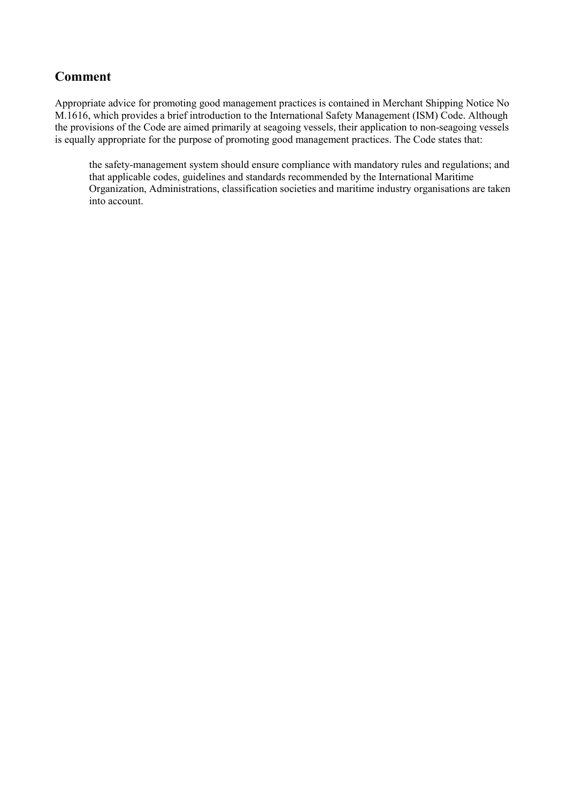#### <span id="page-5-0"></span>**Comment**

Appropriate advice for promoting good management practices is contained in Merchant Shipping Notice No M.1616, which provides a brief introduction to the International Safety Management (ISM) Code. Although the provisions of the Code are aimed primarily at seagoing vessels, their application to non-seagoing vessels is equally appropriate for the purpose of promoting good management practices. The Code states that:

the safety-management system should ensure compliance with mandatory rules and regulations; and that applicable codes, guidelines and standards recommended by the International Maritime Organization, Administrations, classification societies and maritime industry organisations are taken into account.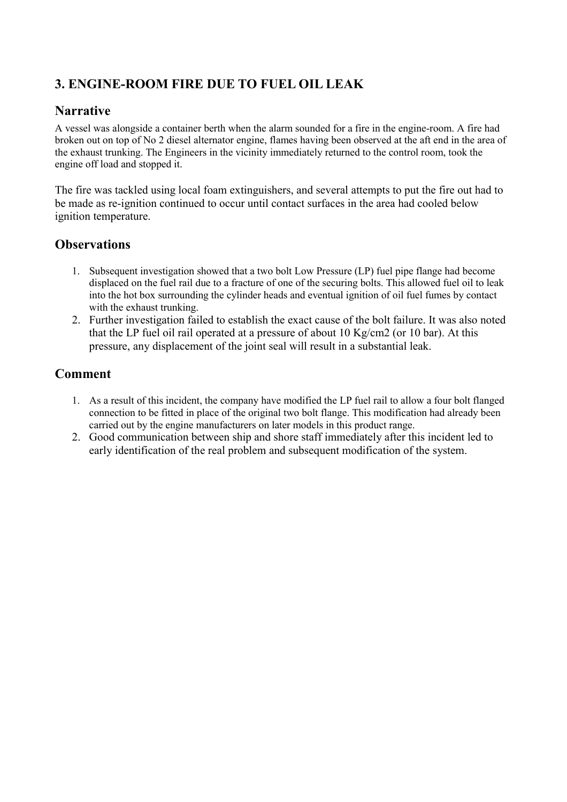# <span id="page-6-0"></span>**3. ENGINE-ROOM FIRE DUE TO FUEL OIL LEAK**

# **Narrative**

A vessel was alongside a container berth when the alarm sounded for a fire in the engine-room. A fire had broken out on top of No 2 diesel alternator engine, flames having been observed at the aft end in the area of the exhaust trunking. The Engineers in the vicinity immediately returned to the control room, took the engine off load and stopped it.

The fire was tackled using local foam extinguishers, and several attempts to put the fire out had to be made as re-ignition continued to occur until contact surfaces in the area had cooled below ignition temperature.

### **Observations**

- 1. Subsequent investigation showed that a two bolt Low Pressure (LP) fuel pipe flange had become displaced on the fuel rail due to a fracture of one of the securing bolts. This allowed fuel oil to leak into the hot box surrounding the cylinder heads and eventual ignition of oil fuel fumes by contact with the exhaust trunking.
- 2. Further investigation failed to establish the exact cause of the bolt failure. It was also noted that the LP fuel oil rail operated at a pressure of about 10 Kg/cm2 (or 10 bar). At this pressure, any displacement of the joint seal will result in a substantial leak.

- 1. As a result of this incident, the company have modified the LP fuel rail to allow a four bolt flanged connection to be fitted in place of the original two bolt flange. This modification had already been carried out by the engine manufacturers on later models in this product range.
- 2. Good communication between ship and shore staff immediately after this incident led to early identification of the real problem and subsequent modification of the system.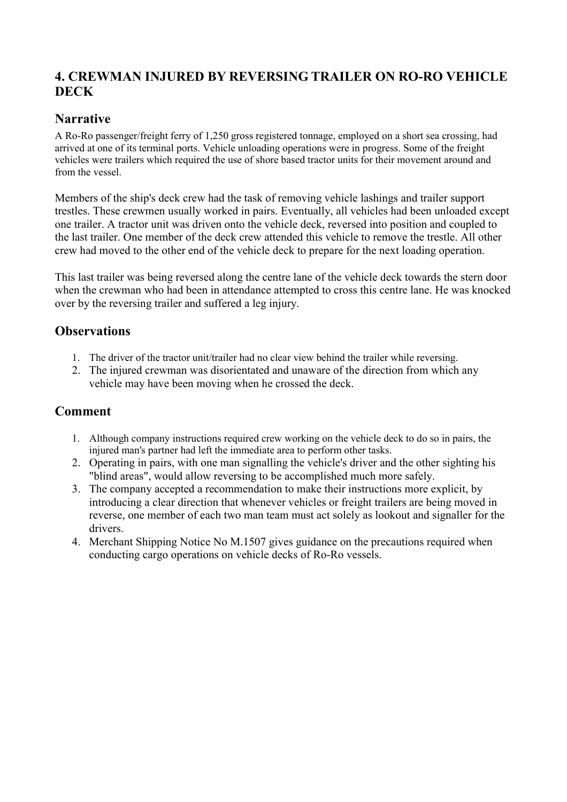## <span id="page-7-0"></span>**4. CREWMAN INJURED BY REVERSING TRAILER ON RO-RO VEHICLE DECK**

### **Narrative**

A Ro-Ro passenger/freight ferry of 1,250 gross registered tonnage, employed on a short sea crossing, had arrived at one of its terminal ports. Vehicle unloading operations were in progress. Some of the freight vehicles were trailers which required the use of shore based tractor units for their movement around and from the vessel.

Members of the ship's deck crew had the task of removing vehicle lashings and trailer support trestles. These crewmen usually worked in pairs. Eventually, all vehicles had been unloaded except one trailer. A tractor unit was driven onto the vehicle deck, reversed into position and coupled to the last trailer. One member of the deck crew attended this vehicle to remove the trestle. All other crew had moved to the other end of the vehicle deck to prepare for the next loading operation.

This last trailer was being reversed along the centre lane of the vehicle deck towards the stern door when the crewman who had been in attendance attempted to cross this centre lane. He was knocked over by the reversing trailer and suffered a leg injury.

# **Observations**

- 1. The driver of the tractor unit/trailer had no clear view behind the trailer while reversing.
- 2. The injured crewman was disorientated and unaware of the direction from which any vehicle may have been moving when he crossed the deck.

- 1. Although company instructions required crew working on the vehicle deck to do so in pairs, the injured man's partner had left the immediate area to perform other tasks.
- 2. Operating in pairs, with one man signalling the vehicle's driver and the other sighting his "blind areas", would allow reversing to be accomplished much more safely.
- 3. The company accepted a recommendation to make their instructions more explicit, by introducing a clear direction that whenever vehicles or freight trailers are being moved in reverse, one member of each two man team must act solely as lookout and signaller for the drivers.
- 4. Merchant Shipping Notice No M.1507 gives guidance on the precautions required when conducting cargo operations on vehicle decks of Ro-Ro vessels.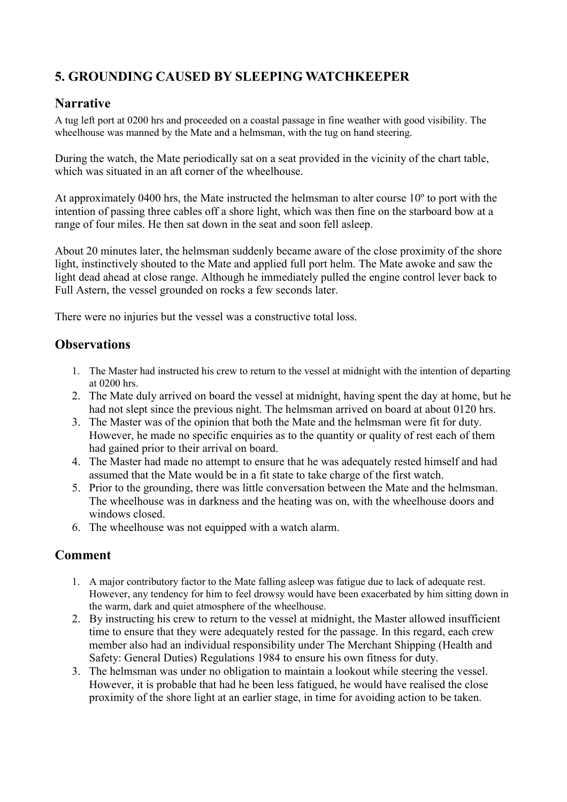# <span id="page-8-0"></span>**5. GROUNDING CAUSED BY SLEEPING WATCHKEEPER**

#### **Narrative**

A tug left port at 0200 hrs and proceeded on a coastal passage in fine weather with good visibility. The wheelhouse was manned by the Mate and a helmsman, with the tug on hand steering.

During the watch, the Mate periodically sat on a seat provided in the vicinity of the chart table, which was situated in an aft corner of the wheelhouse.

At approximately 0400 hrs, the Mate instructed the helmsman to alter course 10º to port with the intention of passing three cables off a shore light, which was then fine on the starboard bow at a range of four miles. He then sat down in the seat and soon fell asleep.

About 20 minutes later, the helmsman suddenly became aware of the close proximity of the shore light, instinctively shouted to the Mate and applied full port helm. The Mate awoke and saw the light dead ahead at close range. Although he immediately pulled the engine control lever back to Full Astern, the vessel grounded on rocks a few seconds later.

There were no injuries but the vessel was a constructive total loss.

#### **Observations**

- 1. The Master had instructed his crew to return to the vessel at midnight with the intention of departing at 0200 hrs.
- 2. The Mate duly arrived on board the vessel at midnight, having spent the day at home, but he had not slept since the previous night. The helmsman arrived on board at about 0120 hrs.
- 3. The Master was of the opinion that both the Mate and the helmsman were fit for duty. However, he made no specific enquiries as to the quantity or quality of rest each of them had gained prior to their arrival on board.
- 4. The Master had made no attempt to ensure that he was adequately rested himself and had assumed that the Mate would be in a fit state to take charge of the first watch.
- 5. Prior to the grounding, there was little conversation between the Mate and the helmsman. The wheelhouse was in darkness and the heating was on, with the wheelhouse doors and windows closed.
- 6. The wheelhouse was not equipped with a watch alarm.

- 1. A major contributory factor to the Mate falling asleep was fatigue due to lack of adequate rest. However, any tendency for him to feel drowsy would have been exacerbated by him sitting down in the warm, dark and quiet atmosphere of the wheelhouse.
- 2. By instructing his crew to return to the vessel at midnight, the Master allowed insufficient time to ensure that they were adequately rested for the passage. In this regard, each crew member also had an individual responsibility under The Merchant Shipping (Health and Safety: General Duties) Regulations 1984 to ensure his own fitness for duty.
- 3. The helmsman was under no obligation to maintain a lookout while steering the vessel. However, it is probable that had he been less fatigued, he would have realised the close proximity of the shore light at an earlier stage, in time for avoiding action to be taken.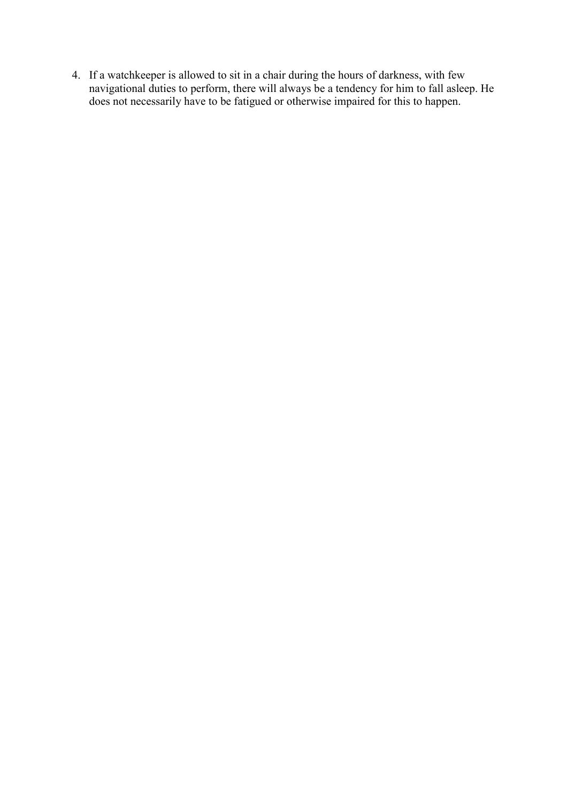4. If a watchkeeper is allowed to sit in a chair during the hours of darkness, with few navigational duties to perform, there will always be a tendency for him to fall asleep. He does not necessarily have to be fatigued or otherwise impaired for this to happen.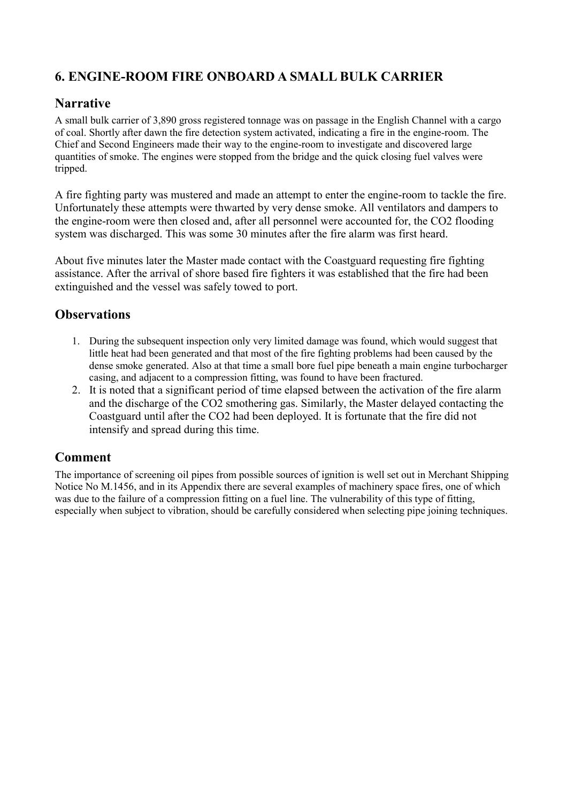# <span id="page-10-0"></span>**6. ENGINE-ROOM FIRE ONBOARD A SMALL BULK CARRIER**

### **Narrative**

A small bulk carrier of 3,890 gross registered tonnage was on passage in the English Channel with a cargo of coal. Shortly after dawn the fire detection system activated, indicating a fire in the engine-room. The Chief and Second Engineers made their way to the engine-room to investigate and discovered large quantities of smoke. The engines were stopped from the bridge and the quick closing fuel valves were tripped.

A fire fighting party was mustered and made an attempt to enter the engine-room to tackle the fire. Unfortunately these attempts were thwarted by very dense smoke. All ventilators and dampers to the engine-room were then closed and, after all personnel were accounted for, the CO2 flooding system was discharged. This was some 30 minutes after the fire alarm was first heard.

About five minutes later the Master made contact with the Coastguard requesting fire fighting assistance. After the arrival of shore based fire fighters it was established that the fire had been extinguished and the vessel was safely towed to port.

# **Observations**

- 1. During the subsequent inspection only very limited damage was found, which would suggest that little heat had been generated and that most of the fire fighting problems had been caused by the dense smoke generated. Also at that time a small bore fuel pipe beneath a main engine turbocharger casing, and adjacent to a compression fitting, was found to have been fractured.
- 2. It is noted that a significant period of time elapsed between the activation of the fire alarm and the discharge of the CO2 smothering gas. Similarly, the Master delayed contacting the Coastguard until after the CO2 had been deployed. It is fortunate that the fire did not intensify and spread during this time.

# **Comment**

The importance of screening oil pipes from possible sources of ignition is well set out in Merchant Shipping Notice No M.1456, and in its Appendix there are several examples of machinery space fires, one of which was due to the failure of a compression fitting on a fuel line. The vulnerability of this type of fitting, especially when subject to vibration, should be carefully considered when selecting pipe joining techniques.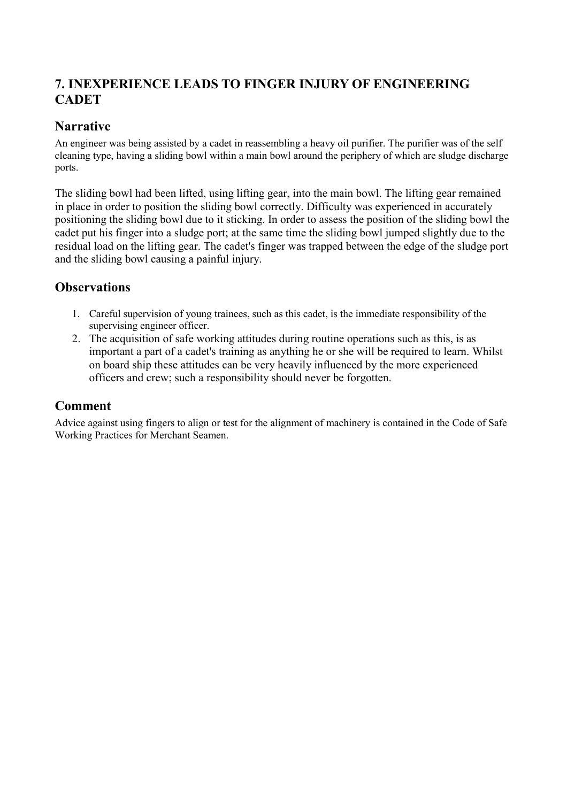# <span id="page-11-0"></span>**7. INEXPERIENCE LEADS TO FINGER INJURY OF ENGINEERING CADET**

## **Narrative**

An engineer was being assisted by a cadet in reassembling a heavy oil purifier. The purifier was of the self cleaning type, having a sliding bowl within a main bowl around the periphery of which are sludge discharge ports.

The sliding bowl had been lifted, using lifting gear, into the main bowl. The lifting gear remained in place in order to position the sliding bowl correctly. Difficulty was experienced in accurately positioning the sliding bowl due to it sticking. In order to assess the position of the sliding bowl the cadet put his finger into a sludge port; at the same time the sliding bowl jumped slightly due to the residual load on the lifting gear. The cadet's finger was trapped between the edge of the sludge port and the sliding bowl causing a painful injury.

#### **Observations**

- 1. Careful supervision of young trainees, such as this cadet, is the immediate responsibility of the supervising engineer officer.
- 2. The acquisition of safe working attitudes during routine operations such as this, is as important a part of a cadet's training as anything he or she will be required to learn. Whilst on board ship these attitudes can be very heavily influenced by the more experienced officers and crew; such a responsibility should never be forgotten.

#### **Comment**

Advice against using fingers to align or test for the alignment of machinery is contained in the Code of Safe Working Practices for Merchant Seamen.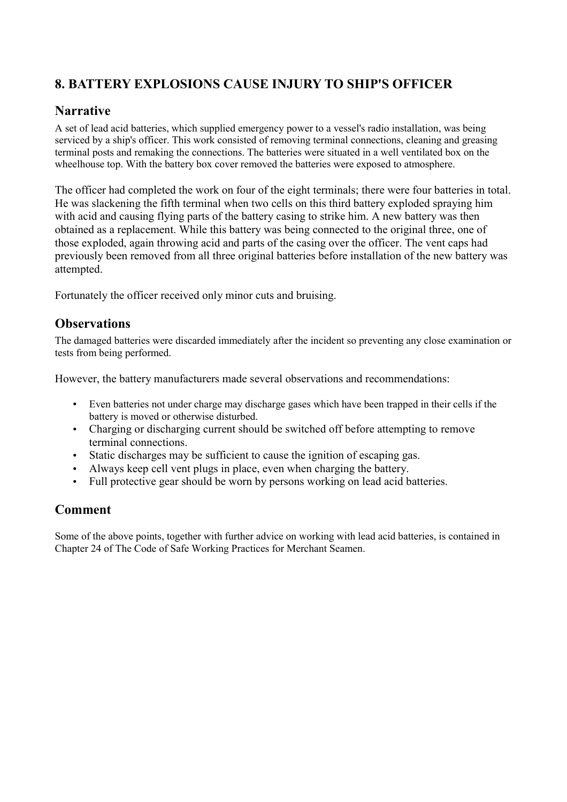# <span id="page-12-0"></span>**8. BATTERY EXPLOSIONS CAUSE INJURY TO SHIP'S OFFICER**

## **Narrative**

A set of lead acid batteries, which supplied emergency power to a vessel's radio installation, was being serviced by a ship's officer. This work consisted of removing terminal connections, cleaning and greasing terminal posts and remaking the connections. The batteries were situated in a well ventilated box on the wheelhouse top. With the battery box cover removed the batteries were exposed to atmosphere.

The officer had completed the work on four of the eight terminals; there were four batteries in total. He was slackening the fifth terminal when two cells on this third battery exploded spraying him with acid and causing flying parts of the battery casing to strike him. A new battery was then obtained as a replacement. While this battery was being connected to the original three, one of those exploded, again throwing acid and parts of the casing over the officer. The vent caps had previously been removed from all three original batteries before installation of the new battery was attempted.

Fortunately the officer received only minor cuts and bruising.

#### **Observations**

The damaged batteries were discarded immediately after the incident so preventing any close examination or tests from being performed.

However, the battery manufacturers made several observations and recommendations:

- Even batteries not under charge may discharge gases which have been trapped in their cells if the battery is moved or otherwise disturbed.
- Charging or discharging current should be switched off before attempting to remove terminal connections.
- Static discharges may be sufficient to cause the ignition of escaping gas.
- Always keep cell vent plugs in place, even when charging the battery.
- Full protective gear should be worn by persons working on lead acid batteries.

#### **Comment**

Some of the above points, together with further advice on working with lead acid batteries, is contained in Chapter 24 of The Code of Safe Working Practices for Merchant Seamen.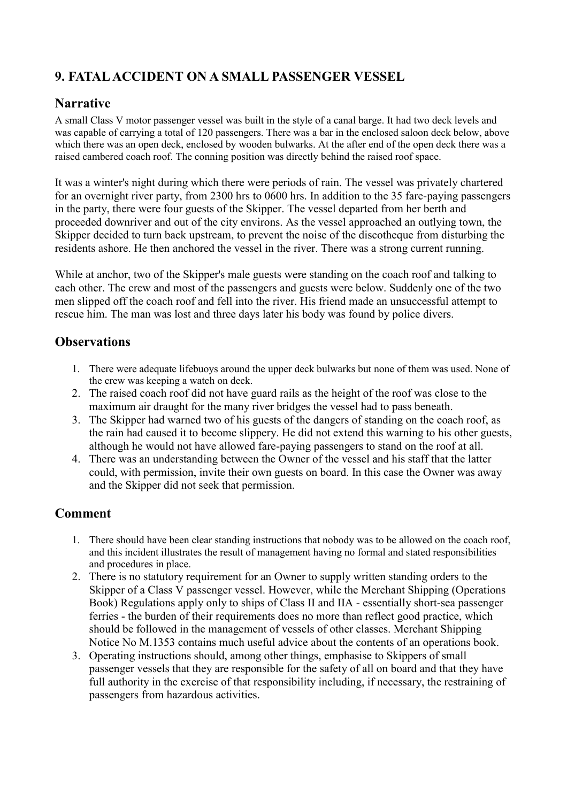# <span id="page-13-0"></span>**9. FATAL ACCIDENT ON A SMALL PASSENGER VESSEL**

### **Narrative**

A small Class V motor passenger vessel was built in the style of a canal barge. It had two deck levels and was capable of carrying a total of 120 passengers. There was a bar in the enclosed saloon deck below, above which there was an open deck, enclosed by wooden bulwarks. At the after end of the open deck there was a raised cambered coach roof. The conning position was directly behind the raised roof space.

It was a winter's night during which there were periods of rain. The vessel was privately chartered for an overnight river party, from 2300 hrs to 0600 hrs. In addition to the 35 fare-paying passengers in the party, there were four guests of the Skipper. The vessel departed from her berth and proceeded downriver and out of the city environs. As the vessel approached an outlying town, the Skipper decided to turn back upstream, to prevent the noise of the discotheque from disturbing the residents ashore. He then anchored the vessel in the river. There was a strong current running.

While at anchor, two of the Skipper's male guests were standing on the coach roof and talking to each other. The crew and most of the passengers and guests were below. Suddenly one of the two men slipped off the coach roof and fell into the river. His friend made an unsuccessful attempt to rescue him. The man was lost and three days later his body was found by police divers.

#### **Observations**

- 1. There were adequate lifebuoys around the upper deck bulwarks but none of them was used. None of the crew was keeping a watch on deck.
- 2. The raised coach roof did not have guard rails as the height of the roof was close to the maximum air draught for the many river bridges the vessel had to pass beneath.
- 3. The Skipper had warned two of his guests of the dangers of standing on the coach roof, as the rain had caused it to become slippery. He did not extend this warning to his other guests, although he would not have allowed fare-paying passengers to stand on the roof at all.
- 4. There was an understanding between the Owner of the vessel and his staff that the latter could, with permission, invite their own guests on board. In this case the Owner was away and the Skipper did not seek that permission.

- 1. There should have been clear standing instructions that nobody was to be allowed on the coach roof, and this incident illustrates the result of management having no formal and stated responsibilities and procedures in place.
- 2. There is no statutory requirement for an Owner to supply written standing orders to the Skipper of a Class V passenger vessel. However, while the Merchant Shipping (Operations Book) Regulations apply only to ships of Class II and IIA - essentially short-sea passenger ferries - the burden of their requirements does no more than reflect good practice, which should be followed in the management of vessels of other classes. Merchant Shipping Notice No M.1353 contains much useful advice about the contents of an operations book.
- 3. Operating instructions should, among other things, emphasise to Skippers of small passenger vessels that they are responsible for the safety of all on board and that they have full authority in the exercise of that responsibility including, if necessary, the restraining of passengers from hazardous activities.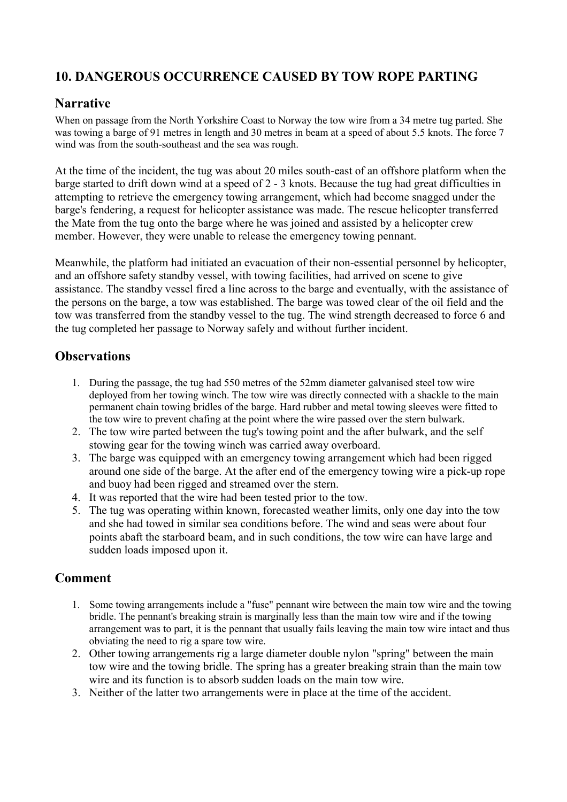# <span id="page-14-0"></span>**10. DANGEROUS OCCURRENCE CAUSED BY TOW ROPE PARTING**

#### **Narrative**

When on passage from the North Yorkshire Coast to Norway the tow wire from a 34 metre tug parted. She was towing a barge of 91 metres in length and 30 metres in beam at a speed of about 5.5 knots. The force 7 wind was from the south-southeast and the sea was rough.

At the time of the incident, the tug was about 20 miles south-east of an offshore platform when the barge started to drift down wind at a speed of 2 - 3 knots. Because the tug had great difficulties in attempting to retrieve the emergency towing arrangement, which had become snagged under the barge's fendering, a request for helicopter assistance was made. The rescue helicopter transferred the Mate from the tug onto the barge where he was joined and assisted by a helicopter crew member. However, they were unable to release the emergency towing pennant.

Meanwhile, the platform had initiated an evacuation of their non-essential personnel by helicopter, and an offshore safety standby vessel, with towing facilities, had arrived on scene to give assistance. The standby vessel fired a line across to the barge and eventually, with the assistance of the persons on the barge, a tow was established. The barge was towed clear of the oil field and the tow was transferred from the standby vessel to the tug. The wind strength decreased to force 6 and the tug completed her passage to Norway safely and without further incident.

#### **Observations**

- 1. During the passage, the tug had 550 metres of the 52mm diameter galvanised steel tow wire deployed from her towing winch. The tow wire was directly connected with a shackle to the main permanent chain towing bridles of the barge. Hard rubber and metal towing sleeves were fitted to the tow wire to prevent chafing at the point where the wire passed over the stern bulwark.
- 2. The tow wire parted between the tug's towing point and the after bulwark, and the self stowing gear for the towing winch was carried away overboard.
- 3. The barge was equipped with an emergency towing arrangement which had been rigged around one side of the barge. At the after end of the emergency towing wire a pick-up rope and buoy had been rigged and streamed over the stern.
- 4. It was reported that the wire had been tested prior to the tow.
- 5. The tug was operating within known, forecasted weather limits, only one day into the tow and she had towed in similar sea conditions before. The wind and seas were about four points abaft the starboard beam, and in such conditions, the tow wire can have large and sudden loads imposed upon it.

- 1. Some towing arrangements include a "fuse" pennant wire between the main tow wire and the towing bridle. The pennant's breaking strain is marginally less than the main tow wire and if the towing arrangement was to part, it is the pennant that usually fails leaving the main tow wire intact and thus obviating the need to rig a spare tow wire.
- 2. Other towing arrangements rig a large diameter double nylon "spring" between the main tow wire and the towing bridle. The spring has a greater breaking strain than the main tow wire and its function is to absorb sudden loads on the main tow wire.
- 3. Neither of the latter two arrangements were in place at the time of the accident.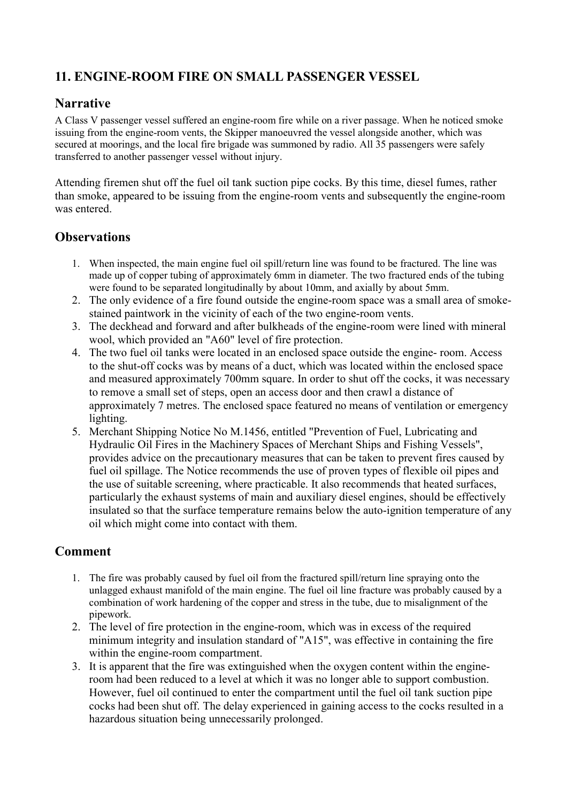# <span id="page-15-0"></span>**11. ENGINE-ROOM FIRE ON SMALL PASSENGER VESSEL**

#### **Narrative**

A Class V passenger vessel suffered an engine-room fire while on a river passage. When he noticed smoke issuing from the engine-room vents, the Skipper manoeuvred the vessel alongside another, which was secured at moorings, and the local fire brigade was summoned by radio. All 35 passengers were safely transferred to another passenger vessel without injury.

Attending firemen shut off the fuel oil tank suction pipe cocks. By this time, diesel fumes, rather than smoke, appeared to be issuing from the engine-room vents and subsequently the engine-room was entered.

#### **Observations**

- 1. When inspected, the main engine fuel oil spill/return line was found to be fractured. The line was made up of copper tubing of approximately 6mm in diameter. The two fractured ends of the tubing were found to be separated longitudinally by about 10mm, and axially by about 5mm.
- 2. The only evidence of a fire found outside the engine-room space was a small area of smokestained paintwork in the vicinity of each of the two engine-room vents.
- 3. The deckhead and forward and after bulkheads of the engine-room were lined with mineral wool, which provided an "A60" level of fire protection.
- 4. The two fuel oil tanks were located in an enclosed space outside the engine- room. Access to the shut-off cocks was by means of a duct, which was located within the enclosed space and measured approximately 700mm square. In order to shut off the cocks, it was necessary to remove a small set of steps, open an access door and then crawl a distance of approximately 7 metres. The enclosed space featured no means of ventilation or emergency lighting.
- 5. Merchant Shipping Notice No M.1456, entitled "Prevention of Fuel, Lubricating and Hydraulic Oil Fires in the Machinery Spaces of Merchant Ships and Fishing Vessels", provides advice on the precautionary measures that can be taken to prevent fires caused by fuel oil spillage. The Notice recommends the use of proven types of flexible oil pipes and the use of suitable screening, where practicable. It also recommends that heated surfaces, particularly the exhaust systems of main and auxiliary diesel engines, should be effectively insulated so that the surface temperature remains below the auto-ignition temperature of any oil which might come into contact with them.

- 1. The fire was probably caused by fuel oil from the fractured spill/return line spraying onto the unlagged exhaust manifold of the main engine. The fuel oil line fracture was probably caused by a combination of work hardening of the copper and stress in the tube, due to misalignment of the pipework.
- 2. The level of fire protection in the engine-room, which was in excess of the required minimum integrity and insulation standard of "A15", was effective in containing the fire within the engine-room compartment.
- 3. It is apparent that the fire was extinguished when the oxygen content within the engineroom had been reduced to a level at which it was no longer able to support combustion. However, fuel oil continued to enter the compartment until the fuel oil tank suction pipe cocks had been shut off. The delay experienced in gaining access to the cocks resulted in a hazardous situation being unnecessarily prolonged.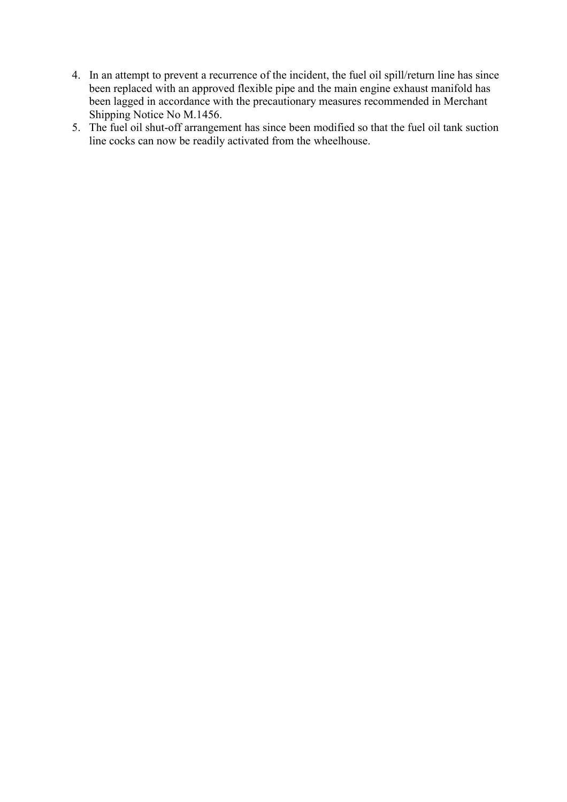- 4. In an attempt to prevent a recurrence of the incident, the fuel oil spill/return line has since been replaced with an approved flexible pipe and the main engine exhaust manifold has been lagged in accordance with the precautionary measures recommended in Merchant Shipping Notice No M.1456.
- 5. The fuel oil shut-off arrangement has since been modified so that the fuel oil tank suction line cocks can now be readily activated from the wheelhouse.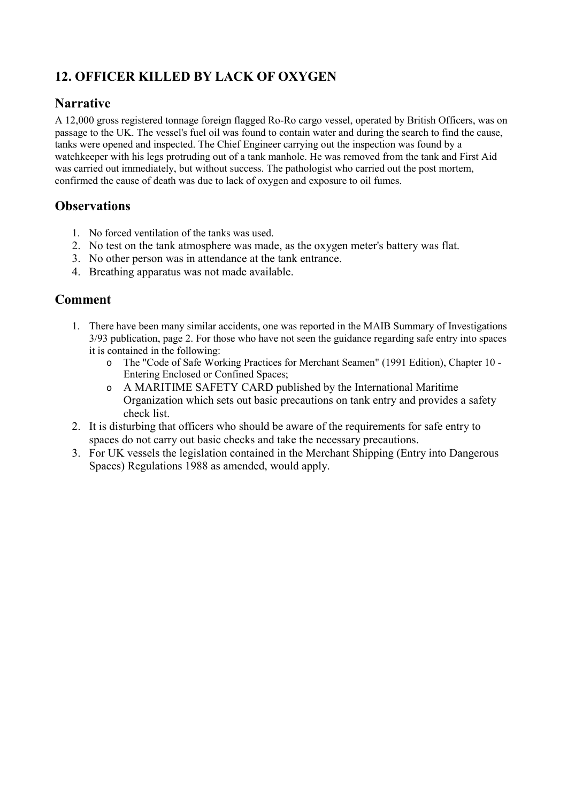# <span id="page-17-0"></span>**12. OFFICER KILLED BY LACK OF OXYGEN**

#### **Narrative**

A 12,000 gross registered tonnage foreign flagged Ro-Ro cargo vessel, operated by British Officers, was on passage to the UK. The vessel's fuel oil was found to contain water and during the search to find the cause, tanks were opened and inspected. The Chief Engineer carrying out the inspection was found by a watchkeeper with his legs protruding out of a tank manhole. He was removed from the tank and First Aid was carried out immediately, but without success. The pathologist who carried out the post mortem, confirmed the cause of death was due to lack of oxygen and exposure to oil fumes.

#### **Observations**

- 1. No forced ventilation of the tanks was used.
- 2. No test on the tank atmosphere was made, as the oxygen meter's battery was flat.
- 3. No other person was in attendance at the tank entrance.
- 4. Breathing apparatus was not made available.

- 1. There have been many similar accidents, one was reported in the MAIB Summary of Investigations 3/93 publication, page 2. For those who have not seen the guidance regarding safe entry into spaces it is contained in the following:
	- o The "Code of Safe Working Practices for Merchant Seamen" (1991 Edition), Chapter 10 Entering Enclosed or Confined Spaces;
	- o A MARITIME SAFETY CARD published by the International Maritime Organization which sets out basic precautions on tank entry and provides a safety check list.
- 2. It is disturbing that officers who should be aware of the requirements for safe entry to spaces do not carry out basic checks and take the necessary precautions.
- 3. For UK vessels the legislation contained in the Merchant Shipping (Entry into Dangerous Spaces) Regulations 1988 as amended, would apply.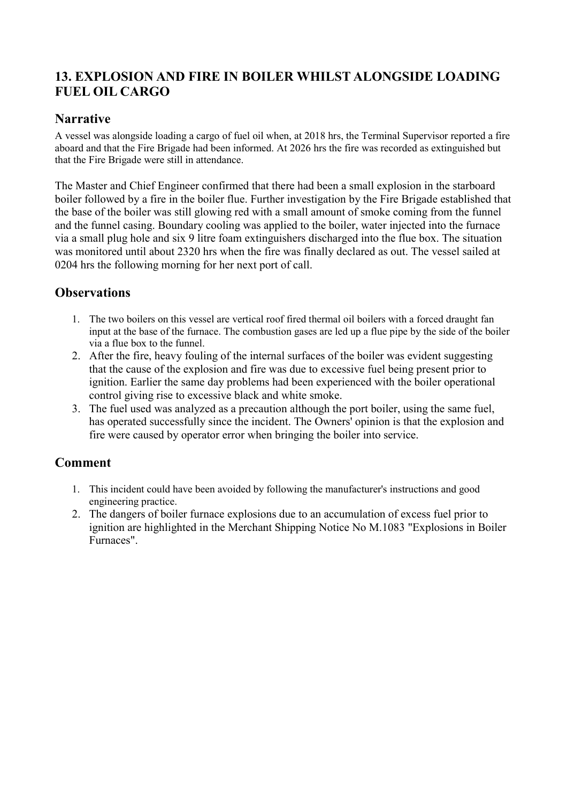# <span id="page-18-0"></span>**13. EXPLOSION AND FIRE IN BOILER WHILST ALONGSIDE LOADING FUEL OIL CARGO**

#### **Narrative**

A vessel was alongside loading a cargo of fuel oil when, at 2018 hrs, the Terminal Supervisor reported a fire aboard and that the Fire Brigade had been informed. At 2026 hrs the fire was recorded as extinguished but that the Fire Brigade were still in attendance.

The Master and Chief Engineer confirmed that there had been a small explosion in the starboard boiler followed by a fire in the boiler flue. Further investigation by the Fire Brigade established that the base of the boiler was still glowing red with a small amount of smoke coming from the funnel and the funnel casing. Boundary cooling was applied to the boiler, water injected into the furnace via a small plug hole and six 9 litre foam extinguishers discharged into the flue box. The situation was monitored until about 2320 hrs when the fire was finally declared as out. The vessel sailed at 0204 hrs the following morning for her next port of call.

### **Observations**

- 1. The two boilers on this vessel are vertical roof fired thermal oil boilers with a forced draught fan input at the base of the furnace. The combustion gases are led up a flue pipe by the side of the boiler via a flue box to the funnel.
- 2. After the fire, heavy fouling of the internal surfaces of the boiler was evident suggesting that the cause of the explosion and fire was due to excessive fuel being present prior to ignition. Earlier the same day problems had been experienced with the boiler operational control giving rise to excessive black and white smoke.
- 3. The fuel used was analyzed as a precaution although the port boiler, using the same fuel, has operated successfully since the incident. The Owners' opinion is that the explosion and fire were caused by operator error when bringing the boiler into service.

- 1. This incident could have been avoided by following the manufacturer's instructions and good engineering practice.
- 2. The dangers of boiler furnace explosions due to an accumulation of excess fuel prior to ignition are highlighted in the Merchant Shipping Notice No M.1083 "Explosions in Boiler Furnaces".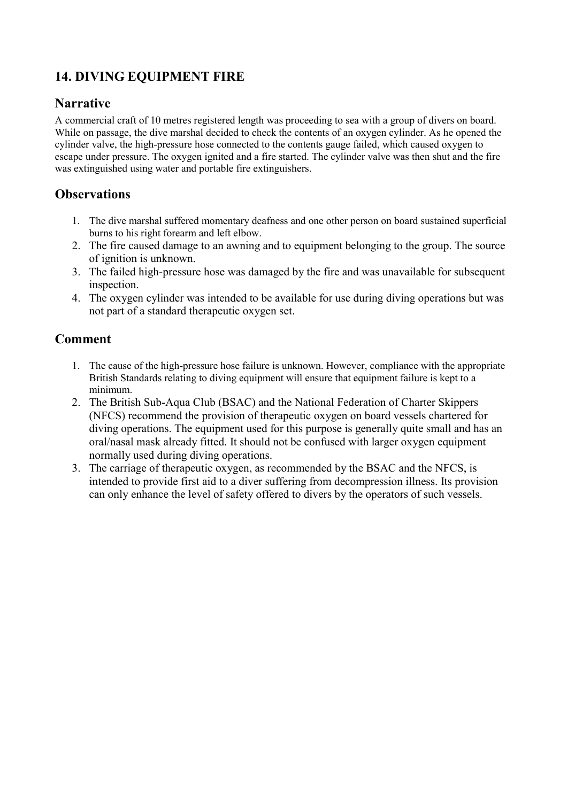# <span id="page-19-0"></span>**14. DIVING EQUIPMENT FIRE**

#### **Narrative**

A commercial craft of 10 metres registered length was proceeding to sea with a group of divers on board. While on passage, the dive marshal decided to check the contents of an oxygen cylinder. As he opened the cylinder valve, the high-pressure hose connected to the contents gauge failed, which caused oxygen to escape under pressure. The oxygen ignited and a fire started. The cylinder valve was then shut and the fire was extinguished using water and portable fire extinguishers.

### **Observations**

- 1. The dive marshal suffered momentary deafness and one other person on board sustained superficial burns to his right forearm and left elbow.
- 2. The fire caused damage to an awning and to equipment belonging to the group. The source of ignition is unknown.
- 3. The failed high-pressure hose was damaged by the fire and was unavailable for subsequent inspection.
- 4. The oxygen cylinder was intended to be available for use during diving operations but was not part of a standard therapeutic oxygen set.

- 1. The cause of the high-pressure hose failure is unknown. However, compliance with the appropriate British Standards relating to diving equipment will ensure that equipment failure is kept to a minimum.
- 2. The British Sub-Aqua Club (BSAC) and the National Federation of Charter Skippers (NFCS) recommend the provision of therapeutic oxygen on board vessels chartered for diving operations. The equipment used for this purpose is generally quite small and has an oral/nasal mask already fitted. It should not be confused with larger oxygen equipment normally used during diving operations.
- 3. The carriage of therapeutic oxygen, as recommended by the BSAC and the NFCS, is intended to provide first aid to a diver suffering from decompression illness. Its provision can only enhance the level of safety offered to divers by the operators of such vessels.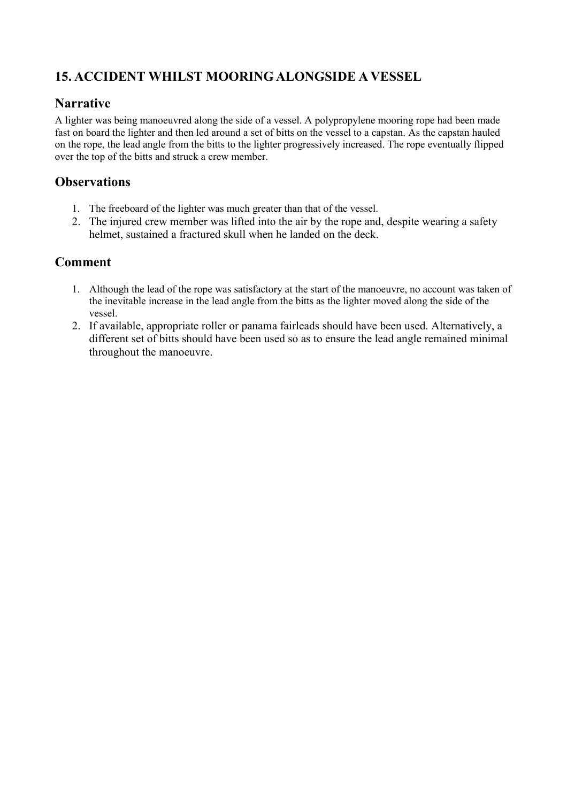# <span id="page-20-0"></span>**15. ACCIDENT WHILST MOORING ALONGSIDE A VESSEL**

#### **Narrative**

A lighter was being manoeuvred along the side of a vessel. A polypropylene mooring rope had been made fast on board the lighter and then led around a set of bitts on the vessel to a capstan. As the capstan hauled on the rope, the lead angle from the bitts to the lighter progressively increased. The rope eventually flipped over the top of the bitts and struck a crew member.

### **Observations**

- 1. The freeboard of the lighter was much greater than that of the vessel.
- 2. The injured crew member was lifted into the air by the rope and, despite wearing a safety helmet, sustained a fractured skull when he landed on the deck.

- 1. Although the lead of the rope was satisfactory at the start of the manoeuvre, no account was taken of the inevitable increase in the lead angle from the bitts as the lighter moved along the side of the vessel.
- 2. If available, appropriate roller or panama fairleads should have been used. Alternatively, a different set of bitts should have been used so as to ensure the lead angle remained minimal throughout the manoeuvre.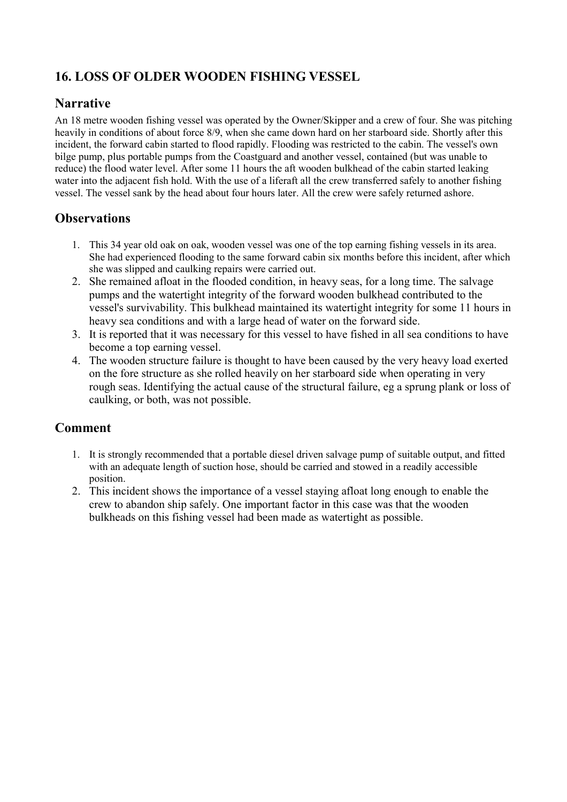# <span id="page-21-0"></span>**16. LOSS OF OLDER WOODEN FISHING VESSEL**

#### **Narrative**

An 18 metre wooden fishing vessel was operated by the Owner/Skipper and a crew of four. She was pitching heavily in conditions of about force 8/9, when she came down hard on her starboard side. Shortly after this incident, the forward cabin started to flood rapidly. Flooding was restricted to the cabin. The vessel's own bilge pump, plus portable pumps from the Coastguard and another vessel, contained (but was unable to reduce) the flood water level. After some 11 hours the aft wooden bulkhead of the cabin started leaking water into the adjacent fish hold. With the use of a liferaft all the crew transferred safely to another fishing vessel. The vessel sank by the head about four hours later. All the crew were safely returned ashore.

#### **Observations**

- 1. This 34 year old oak on oak, wooden vessel was one of the top earning fishing vessels in its area. She had experienced flooding to the same forward cabin six months before this incident, after which she was slipped and caulking repairs were carried out.
- 2. She remained afloat in the flooded condition, in heavy seas, for a long time. The salvage pumps and the watertight integrity of the forward wooden bulkhead contributed to the vessel's survivability. This bulkhead maintained its watertight integrity for some 11 hours in heavy sea conditions and with a large head of water on the forward side.
- 3. It is reported that it was necessary for this vessel to have fished in all sea conditions to have become a top earning vessel.
- 4. The wooden structure failure is thought to have been caused by the very heavy load exerted on the fore structure as she rolled heavily on her starboard side when operating in very rough seas. Identifying the actual cause of the structural failure, eg a sprung plank or loss of caulking, or both, was not possible.

- 1. It is strongly recommended that a portable diesel driven salvage pump of suitable output, and fitted with an adequate length of suction hose, should be carried and stowed in a readily accessible position.
- 2. This incident shows the importance of a vessel staying afloat long enough to enable the crew to abandon ship safely. One important factor in this case was that the wooden bulkheads on this fishing vessel had been made as watertight as possible.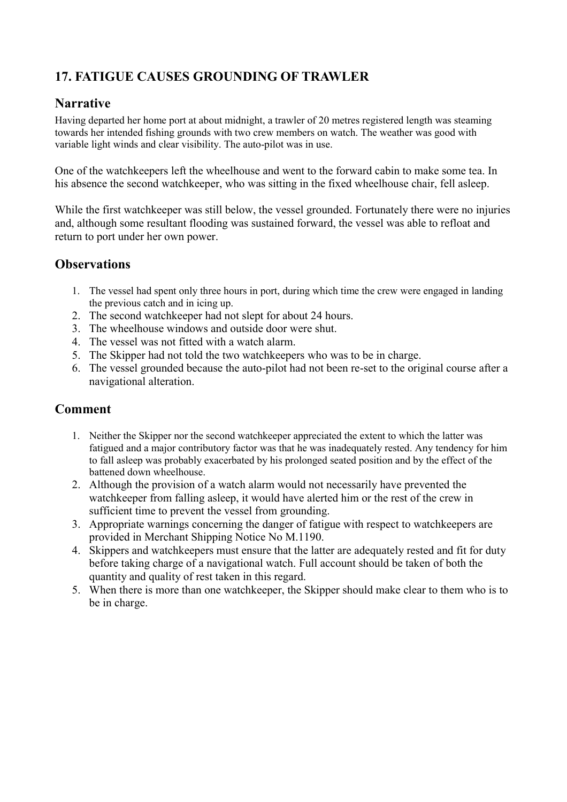# <span id="page-22-0"></span>**17. FATIGUE CAUSES GROUNDING OF TRAWLER**

#### **Narrative**

Having departed her home port at about midnight, a trawler of 20 metres registered length was steaming towards her intended fishing grounds with two crew members on watch. The weather was good with variable light winds and clear visibility. The auto-pilot was in use.

One of the watchkeepers left the wheelhouse and went to the forward cabin to make some tea. In his absence the second watchkeeper, who was sitting in the fixed wheelhouse chair, fell asleep.

While the first watchkeeper was still below, the vessel grounded. Fortunately there were no injuries and, although some resultant flooding was sustained forward, the vessel was able to refloat and return to port under her own power.

#### **Observations**

- 1. The vessel had spent only three hours in port, during which time the crew were engaged in landing the previous catch and in icing up.
- 2. The second watchkeeper had not slept for about 24 hours.
- 3. The wheelhouse windows and outside door were shut.
- 4. The vessel was not fitted with a watch alarm.
- 5. The Skipper had not told the two watchkeepers who was to be in charge.
- 6. The vessel grounded because the auto-pilot had not been re-set to the original course after a navigational alteration.

- 1. Neither the Skipper nor the second watchkeeper appreciated the extent to which the latter was fatigued and a major contributory factor was that he was inadequately rested. Any tendency for him to fall asleep was probably exacerbated by his prolonged seated position and by the effect of the battened down wheelhouse.
- 2. Although the provision of a watch alarm would not necessarily have prevented the watchkeeper from falling asleep, it would have alerted him or the rest of the crew in sufficient time to prevent the vessel from grounding.
- 3. Appropriate warnings concerning the danger of fatigue with respect to watchkeepers are provided in Merchant Shipping Notice No M.1190.
- 4. Skippers and watchkeepers must ensure that the latter are adequately rested and fit for duty before taking charge of a navigational watch. Full account should be taken of both the quantity and quality of rest taken in this regard.
- 5. When there is more than one watchkeeper, the Skipper should make clear to them who is to be in charge.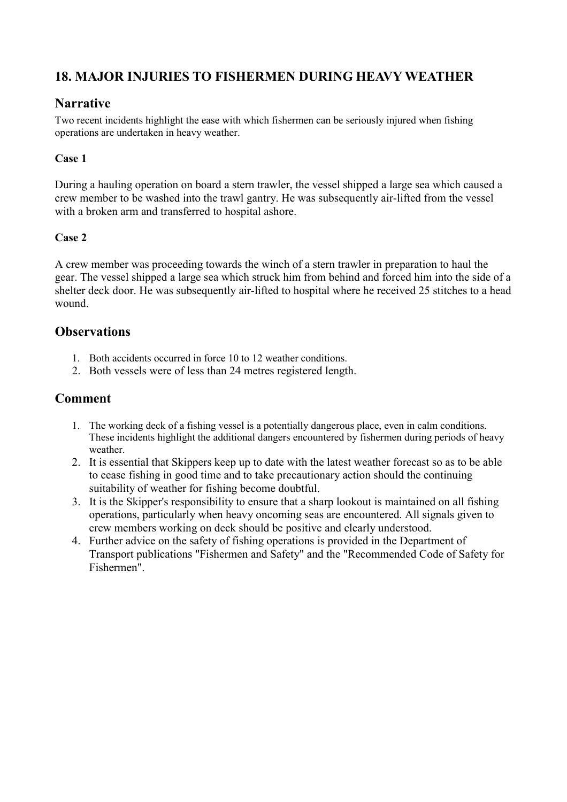# <span id="page-23-0"></span>**18. MAJOR INJURIES TO FISHERMEN DURING HEAVY WEATHER**

#### **Narrative**

Two recent incidents highlight the ease with which fishermen can be seriously injured when fishing operations are undertaken in heavy weather.

#### **Case 1**

During a hauling operation on board a stern trawler, the vessel shipped a large sea which caused a crew member to be washed into the trawl gantry. He was subsequently air-lifted from the vessel with a broken arm and transferred to hospital ashore.

#### **Case 2**

A crew member was proceeding towards the winch of a stern trawler in preparation to haul the gear. The vessel shipped a large sea which struck him from behind and forced him into the side of a shelter deck door. He was subsequently air-lifted to hospital where he received 25 stitches to a head wound.

#### **Observations**

- 1. Both accidents occurred in force 10 to 12 weather conditions.
- 2. Both vessels were of less than 24 metres registered length.

- 1. The working deck of a fishing vessel is a potentially dangerous place, even in calm conditions. These incidents highlight the additional dangers encountered by fishermen during periods of heavy weather.
- 2. It is essential that Skippers keep up to date with the latest weather forecast so as to be able to cease fishing in good time and to take precautionary action should the continuing suitability of weather for fishing become doubtful.
- 3. It is the Skipper's responsibility to ensure that a sharp lookout is maintained on all fishing operations, particularly when heavy oncoming seas are encountered. All signals given to crew members working on deck should be positive and clearly understood.
- 4. Further advice on the safety of fishing operations is provided in the Department of Transport publications "Fishermen and Safety" and the "Recommended Code of Safety for Fishermen".